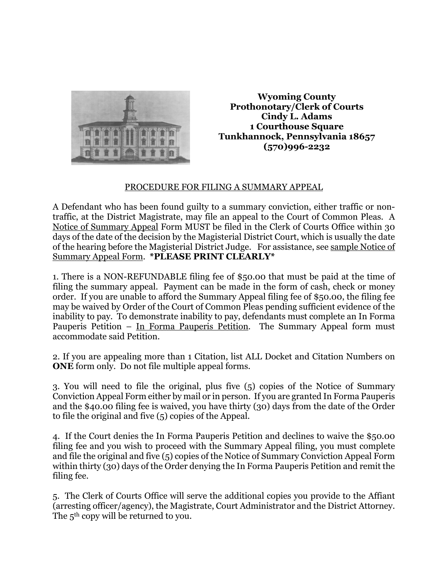

**Wyoming County Prothonotary/Clerk of Courts Cindy L. Adams 1 Courthouse Square Tunkhannock, Pennsylvania 18657 (570)996-2232**

## PROCEDURE FOR FILING A SUMMARY APPEAL

A Defendant who has been found guilty to a summary conviction, either traffic or nontraffic, at the District Magistrate, may file an appeal to the Court of Common Pleas. A Notice of Summary Appeal Form MUST be filed in the Clerk of Courts Office within 30 days of the date of the decision by the Magisterial District Court, which is usually the date of the hearing before the Magisterial District Judge. For assistance, see sample Notice of Summary Appeal Form. **\*PLEASE PRINT CLEARLY\***

1. There is a NON-REFUNDABLE filing fee of \$50.00 that must be paid at the time of filing the summary appeal. Payment can be made in the form of cash, check or money order. If you are unable to afford the Summary Appeal filing fee of \$50.00, the filing fee may be waived by Order of the Court of Common Pleas pending sufficient evidence of the inability to pay. To demonstrate inability to pay, defendants must complete an In Forma Pauperis Petition – In Forma Pauperis Petition. The Summary Appeal form must accommodate said Petition.

2. If you are appealing more than 1 Citation, list ALL Docket and Citation Numbers on **ONE** form only. Do not file multiple appeal forms.

3. You will need to file the original, plus five (5) copies of the Notice of Summary Conviction Appeal Form either by mail or in person. If you are granted In Forma Pauperis and the \$40.00 filing fee is waived, you have thirty (30) days from the date of the Order to file the original and five (5) copies of the Appeal.

4. If the Court denies the In Forma Pauperis Petition and declines to waive the \$50.00 filing fee and you wish to proceed with the Summary Appeal filing, you must complete and file the original and five (5) copies of the Notice of Summary Conviction Appeal Form within thirty (30) days of the Order denying the In Forma Pauperis Petition and remit the filing fee.

5. The Clerk of Courts Office will serve the additional copies you provide to the Affiant (arresting officer/agency), the Magistrate, Court Administrator and the District Attorney. The 5<sup>th</sup> copy will be returned to you.